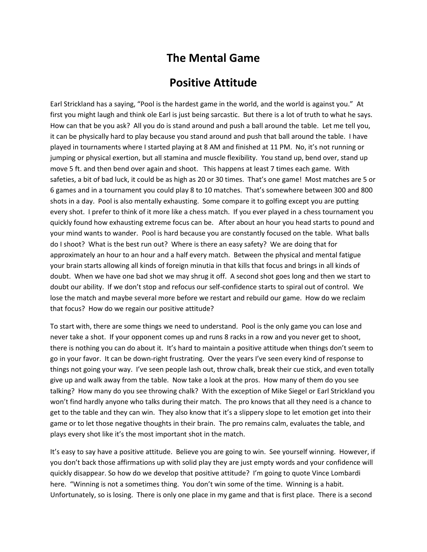## **The Mental Game**

## **Positive Attitude**

Earl Strickland has a saying, "Pool is the hardest game in the world, and the world is against you." At first you might laugh and think ole Earl is just being sarcastic. But there is a lot of truth to what he says. How can that be you ask? All you do is stand around and push a ball around the table. Let me tell you, it can be physically hard to play because you stand around and push that ball around the table. I have played in tournaments where I started playing at 8 AM and finished at 11 PM. No, it's not running or jumping or physical exertion, but all stamina and muscle flexibility. You stand up, bend over, stand up move 5 ft. and then bend over again and shoot. This happens at least 7 times each game. With safeties, a bit of bad luck, it could be as high as 20 or 30 times. That's one game! Most matches are 5 or 6 games and in a tournament you could play 8 to 10 matches. That's somewhere between 300 and 800 shots in a day. Pool is also mentally exhausting. Some compare it to golfing except you are putting every shot. I prefer to think of it more like a chess match. If you ever played in a chess tournament you quickly found how exhausting extreme focus can be. After about an hour you head starts to pound and your mind wants to wander. Pool is hard because you are constantly focused on the table. What balls do I shoot? What is the best run out? Where is there an easy safety? We are doing that for approximately an hour to an hour and a half every match. Between the physical and mental fatigue your brain starts allowing all kinds of foreign minutia in that kills that focus and brings in all kinds of doubt. When we have one bad shot we may shrug it off. A second shot goes long and then we start to doubt our ability. If we don't stop and refocus our self-confidence starts to spiral out of control. We lose the match and maybe several more before we restart and rebuild our game. How do we reclaim that focus? How do we regain our positive attitude?

To start with, there are some things we need to understand. Pool is the only game you can lose and never take a shot. If your opponent comes up and runs 8 racks in a row and you never get to shoot, there is nothing you can do about it. It's hard to maintain a positive attitude when things don't seem to go in your favor. It can be down-right frustrating. Over the years I've seen every kind of response to things not going your way. I've seen people lash out, throw chalk, break their cue stick, and even totally give up and walk away from the table. Now take a look at the pros. How many of them do you see talking? How many do you see throwing chalk? With the exception of Mike Siegel or Earl Strickland you won't find hardly anyone who talks during their match. The pro knows that all they need is a chance to get to the table and they can win. They also know that it's a slippery slope to let emotion get into their game or to let those negative thoughts in their brain. The pro remains calm, evaluates the table, and plays every shot like it's the most important shot in the match.

It's easy to say have a positive attitude. Believe you are going to win. See yourself winning. However, if you don't back those affirmations up with solid play they are just empty words and your confidence will quickly disappear. So how do we develop that positive attitude? I'm going to quote Vince Lombardi here. "Winning is not a sometimes thing. You don't win some of the time. Winning is a habit. Unfortunately, so is losing. There is only one place in my game and that is first place. There is a second